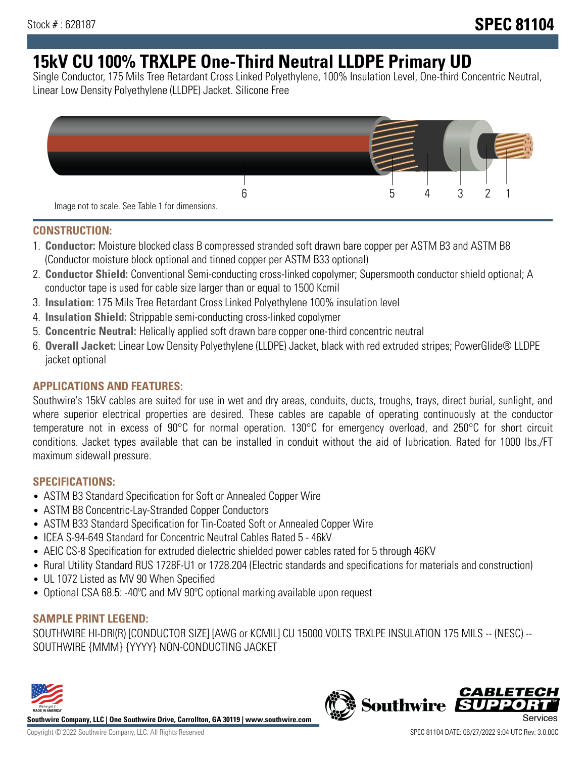# **15kV CU 100% TRXLPE One-Third Neutral LLDPE Primary UD**

Single Conductor, 175 Mils Tree Retardant Cross Linked Polyethylene, 100% Insulation Level, One-third Concentric Neutral, Linear Low Density Polyethylene (LLDPE) Jacket. Silicone Free



### **CONSTRUCTION:**

- 1. **Conductor:** Moisture blocked class B compressed stranded soft drawn bare copper per ASTM B3 and ASTM B8 (Conductor moisture block optional and tinned copper per ASTM B33 optional)
- 2. **Conductor Shield:** Conventional Semi-conducting cross-linked copolymer; Supersmooth conductor shield optional; A conductor tape is used for cable size larger than or equal to 1500 Kcmil
- 3. **Insulation:** 175 Mils Tree Retardant Cross Linked Polyethylene 100% insulation level
- 4. **Insulation Shield:** Strippable semi-conducting cross-linked copolymer
- 5. **Concentric Neutral:** Helically applied soft drawn bare copper one-third concentric neutral
- 6. **Overall Jacket:** Linear Low Density Polyethylene (LLDPE) Jacket, black with red extruded stripes; PowerGlide® LLDPE jacket optional

# **APPLICATIONS AND FEATURES:**

Southwire's 15kV cables are suited for use in wet and dry areas, conduits, ducts, troughs, trays, direct burial, sunlight, and where superior electrical properties are desired. These cables are capable of operating continuously at the conductor temperature not in excess of 90°C for normal operation. 130°C for emergency overload, and 250°C for short circuit conditions. Jacket types available that can be installed in conduit without the aid of lubrication. Rated for 1000 lbs./FT maximum sidewall pressure.

# **SPECIFICATIONS:**

- ASTM B3 Standard Specification for Soft or Annealed Copper Wire
- ASTM B8 Concentric-Lay-Stranded Copper Conductors
- ASTM B33 Standard Specification for Tin-Coated Soft or Annealed Copper Wire
- ICEA S-94-649 Standard for Concentric Neutral Cables Rated 5 46kV
- AEIC CS-8 Specification for extruded dielectric shielded power cables rated for 5 through 46KV
- Rural Utility Standard RUS 1728F-U1 or 1728.204 (Electric standards and specifications for materials and construction)
- UL 1072 Listed as MV 90 When Specified
- Optional CSA 68.5: -40ºC and MV 90ºC optional marking available upon request

# **SAMPLE PRINT LEGEND:**

SOUTHWIRE HI-DRI(R) [CONDUCTOR SIZE] [AWG or KCMIL] CU 15000 VOLTS TRXLPE INSULATION 175 MILS -- (NESC) -- SOUTHWIRE {MMM} {YYYY} NON-CONDUCTING JACKET



**Southwire Company, LLC | One Southwire Drive, Carrollton, GA 30119 | www.southwire.com**

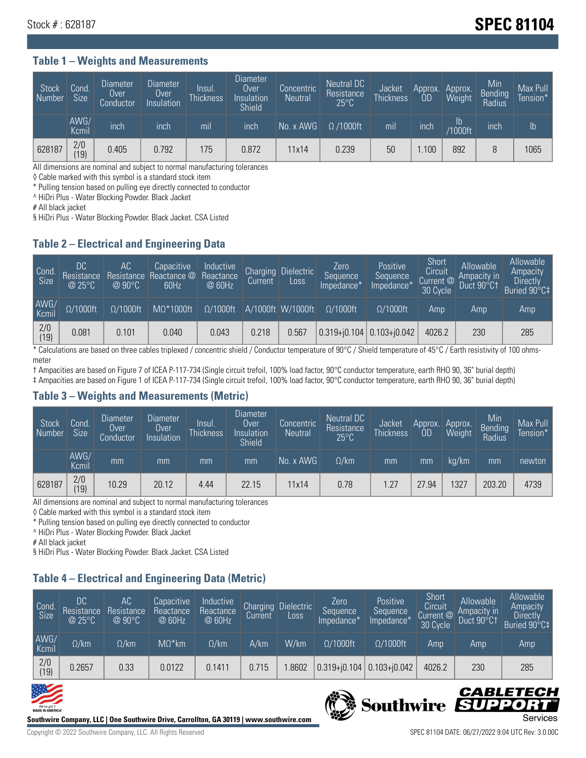# Stock # : 628187 **Stock # : 628187**

#### **Table 1 – Weights and Measurements**

| Stock<br>  Number | Cond<br><b>Size</b> | <b>Diameter</b><br>Over<br>Conductor | Diameter<br>Over<br>Insulation | Insul.<br><b>Thickness</b> | Diameter<br>Over<br>Insulation<br><b>Shield</b> | Concentric<br><b>Neutral</b> | Neutral DC<br>Resistance<br>$25^{\circ}$ C | Jacket<br><b>Thickness</b> | Approx.<br>OD | Approx.<br>Weight    | Min<br><b>Bending</b><br>Radius | Max Pull<br>Tension* <sup>1</sup> |
|-------------------|---------------------|--------------------------------------|--------------------------------|----------------------------|-------------------------------------------------|------------------------------|--------------------------------------------|----------------------------|---------------|----------------------|---------------------------------|-----------------------------------|
|                   | AWG/<br>Kcmil       | inch                                 | inch                           | mil                        | inch                                            | No. x AWG                    | $\Omega$ /1000ft                           | mil                        | inch          | Ib<br><b>Y1000ft</b> | inch                            | $\mathsf{lb}$                     |
| 628187            | 2/0<br>(19)         | 0.405                                | 0.792                          | 175                        | 0.872                                           | 11x14                        | 0.239                                      | 50                         | .100          | 892                  |                                 | 1065                              |

All dimensions are nominal and subject to normal manufacturing tolerances

◊ Cable marked with this symbol is a standard stock item

\* Pulling tension based on pulling eye directly connected to conductor

^ HiDri Plus - Water Blocking Powder. Black Jacket

# All black jacket

§ HiDri Plus - Water Blocking Powder. Black Jacket. CSA Listed

### **Table 2 – Electrical and Engineering Data**

| Cond.<br>Size         | 'DC<br>Resistance<br>@25°C | AC<br>Resistance<br>$\varpi$ 90°C | Capacitive<br>Reactance @<br>60Hz | Inductive<br>Reactance<br>@ 60Hz | Charging<br>Current | <b>Dielectric</b><br>Loss | Zero<br>Sequence<br>Impedance*    | Positive<br>Sequence<br>Impedance <sup>+</sup> | Short<br>Circuit<br>Current @<br>30 Cycle | Allowable<br>Ampacity in<br>Duct 90°C1 | Allowable<br>Ampacity<br><b>Directly</b><br>Buried 90°C‡ |
|-----------------------|----------------------------|-----------------------------------|-----------------------------------|----------------------------------|---------------------|---------------------------|-----------------------------------|------------------------------------------------|-------------------------------------------|----------------------------------------|----------------------------------------------------------|
| AWG/<br>Kcmil         | $\Omega/1000$ ft           | $\Omega/1000$ ft                  | $M\Omega^*1000$ ft                | $\Omega/1000$ ft                 |                     | A/1000ft W/1000ft         | $Q/1000$ ft                       | $O/1000$ ft                                    | Amp                                       | Amp                                    | Amp                                                      |
| $\frac{2}{0}$<br>(19) | 0.081                      | 0.101                             | 0.040                             | 0.043                            | 0.218               | 0.567                     | $ 0.319 + i0.104 0.103 + i0.042 $ |                                                | 4026.2                                    | 230                                    | 285                                                      |

\* Calculations are based on three cables triplexed / concentric shield / Conductor temperature of 90°C / Shield temperature of 45°C / Earth resistivity of 100 ohmsmeter

† Ampacities are based on Figure 7 of ICEA P-117-734 (Single circuit trefoil, 100% load factor, 90°C conductor temperature, earth RHO 90, 36" burial depth) ‡ Ampacities are based on Figure 1 of ICEA P-117-734 (Single circuit trefoil, 100% load factor, 90°C conductor temperature, earth RHO 90, 36" burial depth)

### **Table 3 – Weights and Measurements (Metric)**

| Stock<br>Number | Cond.<br><b>Size</b> | <b>Diameter</b><br>Over<br>Conductor | Diameter<br><b>Over</b><br>Insulation | Insul.<br><b>Thickness</b> | <b>Diameter</b><br>Over<br>Insulation<br><b>Shield</b> | Concentric<br><b>Neutral</b> | Neutral DC<br>Resistance<br>$25^{\circ}$ C | Jacket<br><b>Thickness</b> | Approx.<br>0D | Approx.<br>Weight | Min<br>Bending<br>Radius | Max Pull<br>Tension* |
|-----------------|----------------------|--------------------------------------|---------------------------------------|----------------------------|--------------------------------------------------------|------------------------------|--------------------------------------------|----------------------------|---------------|-------------------|--------------------------|----------------------|
|                 | AWG/<br>Kcmil        | mm                                   | mm                                    | mm                         | mm                                                     | No. x AWG                    | $\Omega$ /km                               | mm                         | ımm           | ka/km             | mm                       | newton               |
| 628187          | 2/0<br>(19)          | 10.29                                | 20.12                                 | 4.44                       | 22.15                                                  | 11x14                        | 0.78                                       | 1.27                       | 27.94         | 327               | 203.20                   | 4739                 |

All dimensions are nominal and subject to normal manufacturing tolerances

◊ Cable marked with this symbol is a standard stock item

\* Pulling tension based on pulling eye directly connected to conductor

^ HiDri Plus - Water Blocking Powder. Black Jacket

# All black jacket

§ HiDri Plus - Water Blocking Powder. Black Jacket. CSA Listed

# **Table 4 – Electrical and Engineering Data (Metric)**

| Cond<br>Size          | <b>DC</b><br>Resistance<br>@25°C | AC<br>Resistance<br>@90°C | Capacitive<br>Reactance<br>@ 60Hz | Inductive<br>Reactance<br>@ 60Hz | Current | Charging Dielectric<br>LOSS. | Zero<br>Sequence<br>Impedance* | Positive<br>Sequence<br>Impedance* | Short<br>Circuit<br>Current @<br>30 Cycle | Allowable<br>Ampacity in<br>Duct 90°C1 | Allowable<br>Ampacity<br>Directly<br>Buried 90°C‡ |
|-----------------------|----------------------------------|---------------------------|-----------------------------------|----------------------------------|---------|------------------------------|--------------------------------|------------------------------------|-------------------------------------------|----------------------------------------|---------------------------------------------------|
| AWG/<br>Kcmil         | $\Omega$ /km                     | $\Omega$ /km              | $M\Omega^*$ km                    | $\Omega$ /km                     | A/km    | W/km                         | $\Omega/1000$ ft               | $\Omega/1000$ ft                   | Amp                                       | Amp                                    | Amp                                               |
| $\frac{2}{0}$<br>(19) | 0.2657                           | 0.33                      | 0.0122                            | 0.1411                           | 0.715   | .8602                        | $0.319 + 0.104$                | $0.103 + j0.042$                   | 4026.2                                    | 230                                    | 285                                               |





Southwire SUP

CABLETECI

Ð